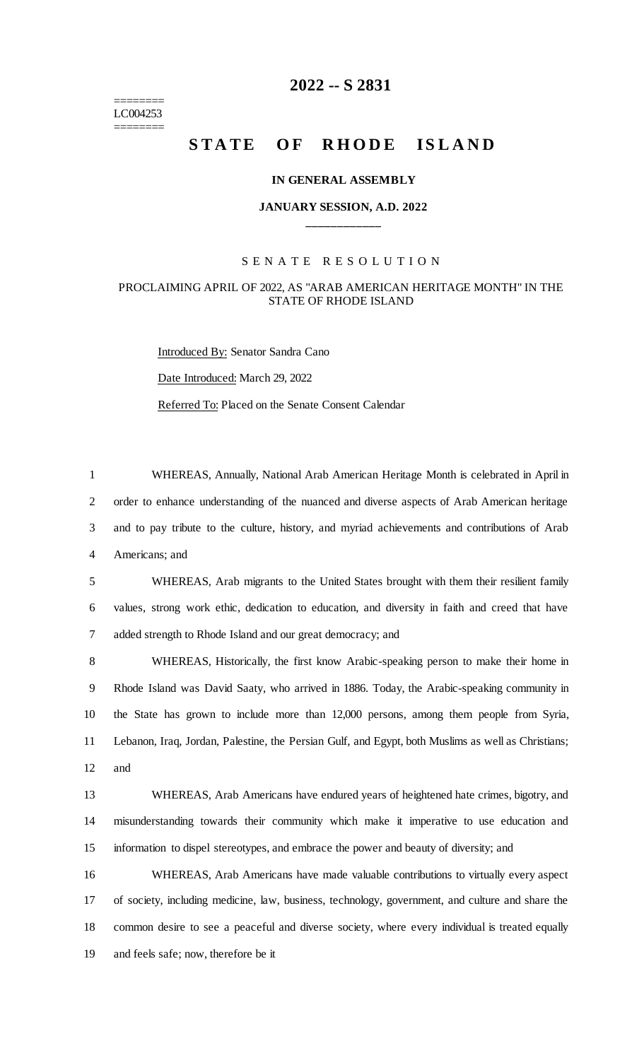======== LC004253 ========

## **-- S 2831**

# **STATE OF RHODE ISLAND**

### **IN GENERAL ASSEMBLY**

## **JANUARY SESSION, A.D. 2022 \_\_\_\_\_\_\_\_\_\_\_\_**

### S E N A T E R E S O L U T I O N

## PROCLAIMING APRIL OF 2022, AS "ARAB AMERICAN HERITAGE MONTH" IN THE STATE OF RHODE ISLAND

Introduced By: Senator Sandra Cano Date Introduced: March 29, 2022 Referred To: Placed on the Senate Consent Calendar

 WHEREAS, Annually, National Arab American Heritage Month is celebrated in April in order to enhance understanding of the nuanced and diverse aspects of Arab American heritage and to pay tribute to the culture, history, and myriad achievements and contributions of Arab Americans; and

 WHEREAS, Arab migrants to the United States brought with them their resilient family values, strong work ethic, dedication to education, and diversity in faith and creed that have added strength to Rhode Island and our great democracy; and

 WHEREAS, Historically, the first know Arabic-speaking person to make their home in Rhode Island was David Saaty, who arrived in 1886. Today, the Arabic-speaking community in the State has grown to include more than 12,000 persons, among them people from Syria, Lebanon, Iraq, Jordan, Palestine, the Persian Gulf, and Egypt, both Muslims as well as Christians; and

 WHEREAS, Arab Americans have endured years of heightened hate crimes, bigotry, and misunderstanding towards their community which make it imperative to use education and information to dispel stereotypes, and embrace the power and beauty of diversity; and

 WHEREAS, Arab Americans have made valuable contributions to virtually every aspect of society, including medicine, law, business, technology, government, and culture and share the common desire to see a peaceful and diverse society, where every individual is treated equally and feels safe; now, therefore be it